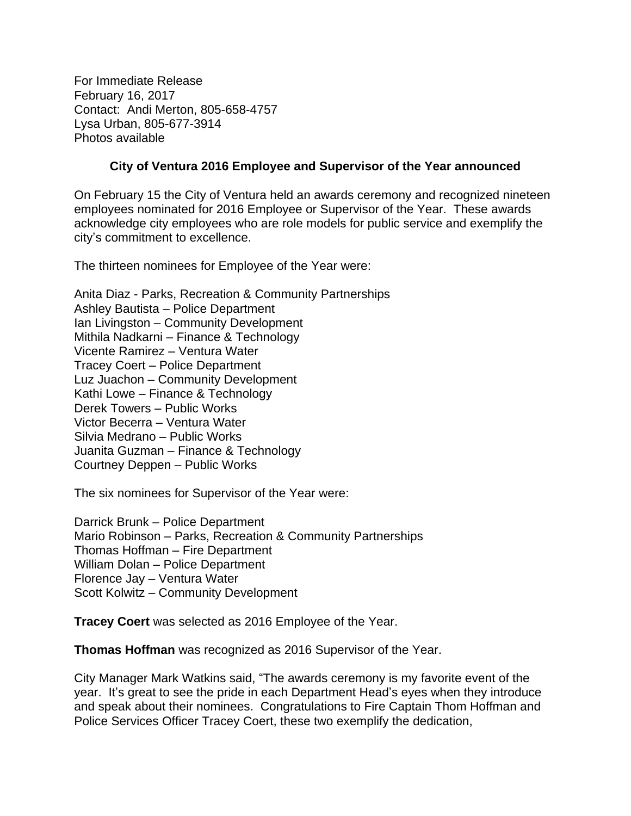For Immediate Release February 16, 2017 Contact: Andi Merton, 805-658-4757 Lysa Urban, 805-677-3914 Photos available

## **City of Ventura 2016 Employee and Supervisor of the Year announced**

On February 15 the City of Ventura held an awards ceremony and recognized nineteen employees nominated for 2016 Employee or Supervisor of the Year. These awards acknowledge city employees who are role models for public service and exemplify the city's commitment to excellence.

The thirteen nominees for Employee of the Year were:

Anita Diaz - Parks, Recreation & Community Partnerships Ashley Bautista – Police Department Ian Livingston – Community Development Mithila Nadkarni – Finance & Technology Vicente Ramirez – Ventura Water Tracey Coert – Police Department Luz Juachon – Community Development Kathi Lowe – Finance & Technology Derek Towers – Public Works Victor Becerra – Ventura Water Silvia Medrano – Public Works Juanita Guzman – Finance & Technology Courtney Deppen – Public Works

The six nominees for Supervisor of the Year were:

Darrick Brunk – Police Department Mario Robinson – Parks, Recreation & Community Partnerships Thomas Hoffman – Fire Department William Dolan – Police Department Florence Jay – Ventura Water Scott Kolwitz – Community Development

**Tracey Coert** was selected as 2016 Employee of the Year.

**Thomas Hoffman** was recognized as 2016 Supervisor of the Year.

City Manager Mark Watkins said, "The awards ceremony is my favorite event of the year. It's great to see the pride in each Department Head's eyes when they introduce and speak about their nominees. Congratulations to Fire Captain Thom Hoffman and Police Services Officer Tracey Coert, these two exemplify the dedication,